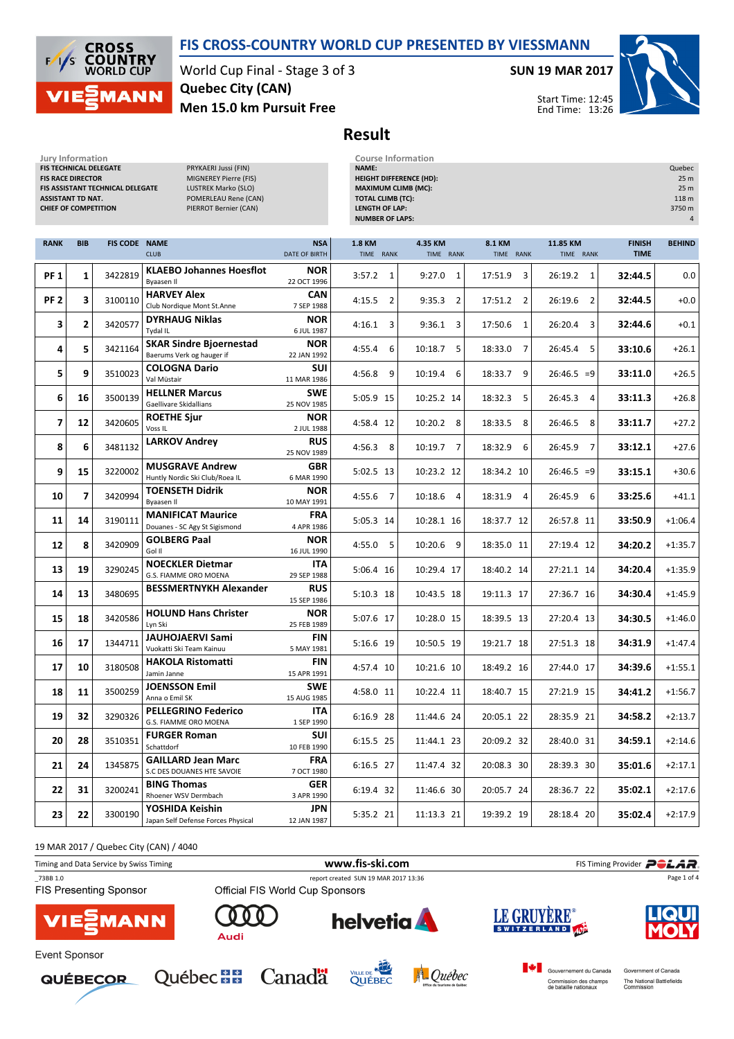

**CROSS<br>COUNTRY**<br>WORLD CUP  $F$ **MANN** 

Jury Information<br>FIS TECHNICAL DELEGATE PRYKAERI Jussi (FIN)<br>FIS RACE DIRECTOR PRYKAERI PRINCIPLE PRINCIPLE (FIN

World Cup Final - Stage 3 of 3 Men 15.0 km Pursuit Free Quebec City (CAN)

MIGNEREY Pierre (FIS)

## SUN 19 MAR 2017

HEIGHT DIFFERENCE (HD): 25 m



Start Time: 12:45 End Time: 13:26

Result

Jury Information Course Information NAME: Quebec

| FIS ASSISTANT TECHNICAL DELEGATE<br>LUSTREK Marko (SLO)<br>POMERLEAU Rene (CAN)<br><b>ASSISTANT TD NAT.</b><br><b>CHIEF OF COMPETITION</b><br>PIERROT Bernier (CAN) |                |                      |                                                             | <b>MAXIMUM CLIMB (MC):</b><br><b>TOTAL CLIMB (TC):</b><br><b>LENGTH OF LAP:</b><br><b>NUMBER OF LAPS:</b> |                            |                          |                           |                           | 25 <sub>m</sub><br>118 m<br>3750 m<br>$\overline{4}$ |               |
|---------------------------------------------------------------------------------------------------------------------------------------------------------------------|----------------|----------------------|-------------------------------------------------------------|-----------------------------------------------------------------------------------------------------------|----------------------------|--------------------------|---------------------------|---------------------------|------------------------------------------------------|---------------|
| <b>RANK</b>                                                                                                                                                         | <b>BIB</b>     | <b>FIS CODE NAME</b> | <b>CLUB</b>                                                 | <b>NSA</b><br>DATE OF BIRTH                                                                               | <b>1.8 KM</b><br>TIME RANK | 4.35 KM<br>TIME RANK     | 8.1 KM<br>TIME RANK       | 11.85 KM<br>TIME RANK     | <b>FINISH</b><br><b>TIME</b>                         | <b>BEHIND</b> |
| <b>PF1</b>                                                                                                                                                          | 1              | 3422819              | <b>KLAEBO Johannes Hoesflot</b><br><b>Byaasen II</b>        | <b>NOR</b><br>22 OCT 1996                                                                                 | 3:57.2<br>$\mathbf{1}$     | 9:27.0<br>$\overline{1}$ | 17:51.9<br>3              | 26:19.2<br>1              | 32:44.5                                              | 0.0           |
| PF <sub>2</sub>                                                                                                                                                     | 3              | 3100110              | <b>HARVEY Alex</b><br>Club Nordique Mont St.Anne            | <b>CAN</b><br>7 SEP 1988                                                                                  | 4:15.5<br>$\overline{2}$   | $9:35.3$ 2               | 17:51.2<br>$\overline{2}$ | 26:19.6<br>$\overline{2}$ | 32:44.5                                              | $+0.0$        |
| 3                                                                                                                                                                   | $\overline{2}$ | 3420577              | <b>DYRHAUG Niklas</b><br>Tydal IL                           | <b>NOR</b><br>6 JUL 1987                                                                                  | 4:16.1<br>3                | $9:36.1$ 3               | 17:50.6<br>$\mathbf{1}$   | 26:20.4<br>3              | 32:44.6                                              | $+0.1$        |
| 4                                                                                                                                                                   | 5.             | 3421164              | <b>SKAR Sindre Bjoernestad</b><br>Baerums Verk og hauger if | <b>NOR</b><br>22 JAN 1992                                                                                 | 4:55.4<br>6                | 10:18.7 5                | $\overline{7}$<br>18:33.0 | 5<br>26:45.4              | 33:10.6                                              | $+26.1$       |
| 5                                                                                                                                                                   | 9              | 3510023              | <b>COLOGNA Dario</b><br>Val Müstair                         | SUI<br>11 MAR 1986                                                                                        | 4:56.8<br>9                | 10:19.4<br>6             | 18:33.7<br>9              | $26:46.5 = 9$             | 33:11.0                                              | $+26.5$       |
| 6                                                                                                                                                                   | 16             | 3500139              | <b>HELLNER Marcus</b><br>Gaellivare Skidallians             | <b>SWE</b><br>25 NOV 1985                                                                                 | 5:05.9 15                  | 10:25.2 14               | 18:32.3<br>5              | 26:45.3<br>$\overline{4}$ | 33:11.3                                              | $+26.8$       |
| $\overline{\mathbf{z}}$                                                                                                                                             | 12             | 3420605              | <b>ROETHE Sjur</b><br>Voss <sub>IL</sub>                    | <b>NOR</b><br>2 JUL 1988                                                                                  | 4:58.4 12                  | 10:20.2 8                | 18:33.5<br>8              | 26:46.5<br>8              | 33:11.7                                              | $+27.2$       |
| 8                                                                                                                                                                   | 6              | 3481132              | <b>LARKOV Andrey</b>                                        | <b>RUS</b><br>25 NOV 1989                                                                                 | $4:56.3$ 8                 | 10:19.7 7                | 18:32.9<br>6              | 26:45.9<br>$\overline{7}$ | 33:12.1                                              | $+27.6$       |
| 9                                                                                                                                                                   | 15             | 3220002              | <b>MUSGRAVE Andrew</b><br>Huntly Nordic Ski Club/Roea IL    | <b>GBR</b><br>6 MAR 1990                                                                                  | 5:02.5 13                  | 10:23.2 12               | 18:34.2 10                | $26:46.5 = 9$             | 33:15.1                                              | $+30.6$       |
| 10                                                                                                                                                                  | 7              | 3420994              | <b>TOENSETH Didrik</b><br>Byaasen II                        | <b>NOR</b><br>10 MAY 1991                                                                                 | 4:55.6 7                   | 10:18.6 4                | 18:31.9<br>$\overline{4}$ | 6<br>26:45.9              | 33:25.6                                              | $+41.1$       |
| 11                                                                                                                                                                  | 14             | 3190111              | <b>MANIFICAT Maurice</b><br>Douanes - SC Agy St Sigismond   | <b>FRA</b><br>4 APR 1986                                                                                  | 5:05.3 14                  | 10:28.1 16               | 18:37.7 12                | 26:57.8 11                | 33:50.9                                              | $+1:06.4$     |
| 12                                                                                                                                                                  | 8              | 3420909              | <b>GOLBERG Paal</b><br>Gol II                               | <b>NOR</b><br>16 JUL 1990                                                                                 | $4:55.0$ 5                 | 10:20.6 9                | 18:35.0 11                | 27:19.4 12                | 34:20.2                                              | $+1:35.7$     |
| 13                                                                                                                                                                  | 19             | 3290245              | <b>NOECKLER Dietmar</b><br>G.S. FIAMME ORO MOENA            | <b>ITA</b><br>29 SEP 1988                                                                                 | 5:06.4 16                  | 10:29.4 17               | 18:40.2 14                | 27:21.1 14                | 34:20.4                                              | $+1:35.9$     |
| 14                                                                                                                                                                  | 13             | 3480695              | <b>BESSMERTNYKH Alexander</b>                               | <b>RUS</b><br>15 SEP 1986                                                                                 | $5:10.3$ 18                | 10:43.5 18               | 19:11.3 17                | 27:36.7 16                | 34:30.4                                              | $+1:45.9$     |
| 15                                                                                                                                                                  | 18             | 3420586              | <b>HOLUND Hans Christer</b><br>Lyn Ski                      | <b>NOR</b><br>25 FEB 1989                                                                                 | 5:07.6 17                  | 10:28.0 15               | 18:39.5 13                | 27:20.4 13                | 34:30.5                                              | $+1:46.0$     |
| 16                                                                                                                                                                  | 17             | 1344711              | JAUHOJAERVI Sami<br>Vuokatti Ski Team Kainuu                | FIN<br>5 MAY 1981                                                                                         | 5:16.6 19                  | 10:50.5 19               | 19:21.7 18                | 27:51.3 18                | 34:31.9                                              | $+1:47.4$     |
| 17                                                                                                                                                                  | 10             | 3180508              | <b>HAKOLA Ristomatti</b><br>Jamin Janne                     | <b>FIN</b><br>15 APR 1991                                                                                 | 4:57.4 10                  | 10:21.6 10               | 18:49.2 16                | 27:44.0 17                | 34:39.6                                              | $+1:55.1$     |
| 18                                                                                                                                                                  | 11             | 3500259              | <b>JOENSSON Emil</b><br>Anna o Emil SK                      | <b>SWE</b><br>15 AUG 1985                                                                                 | 4:58.0 11                  | 10:22.4 11               | 18:40.7 15                | 27:21.9 15                | 34:41.2                                              | $+1:56.7$     |
| 19                                                                                                                                                                  | 32             | 3290326              | <b>PELLEGRINO Federico</b><br>G.S. FIAMME ORO MOENA         | ITA<br>1 SEP 1990                                                                                         | 6:16.9 28                  | 11:44.6 24               | 20:05.1 22                | 28:35.9 21                | 34:58.2                                              | $+2:13.7$     |
| 20                                                                                                                                                                  | 28             | 3510351              | <b>FURGER Roman</b><br>Schattdorf                           | <b>SUI</b><br>10 FEB 1990                                                                                 | 6:15.5 25                  | 11:44.1 23               | 20:09.2 32                | 28:40.0 31                | 34:59.1                                              | $+2:14.6$     |
| 21                                                                                                                                                                  | 24             | 1345875              | <b>GAILLARD Jean Marc</b><br>S.C DES DOUANES HTE SAVOIE     | FRA<br>7 OCT 1980                                                                                         | 6:16.5 27                  | 11:47.4 32               | 20:08.3 30                | 28:39.3 30                | 35:01.6                                              | $+2:17.1$     |
| 22                                                                                                                                                                  | 31             | 3200241              | <b>BING Thomas</b><br>Rhoener WSV Dermbach                  | GER<br>3 APR 1990                                                                                         | 6:19.4 32                  | 11:46.6 30               | 20:05.7 24                | 28:36.7 22                | 35:02.1                                              | $+2:17.6$     |
| 23                                                                                                                                                                  | 22             | 3300190              | YOSHIDA Keishin<br>Japan Self Defense Forces Physical       | <b>JPN</b><br>12 JAN 1987                                                                                 | 5:35.2 21                  | 11:13.3 21               | 19:39.2 19                | 28:18.4 20                | 35:02.4                                              | $+2:17.9$     |



**QUÉBECOR** 







Government of Canada The National Battlefields<br>Commission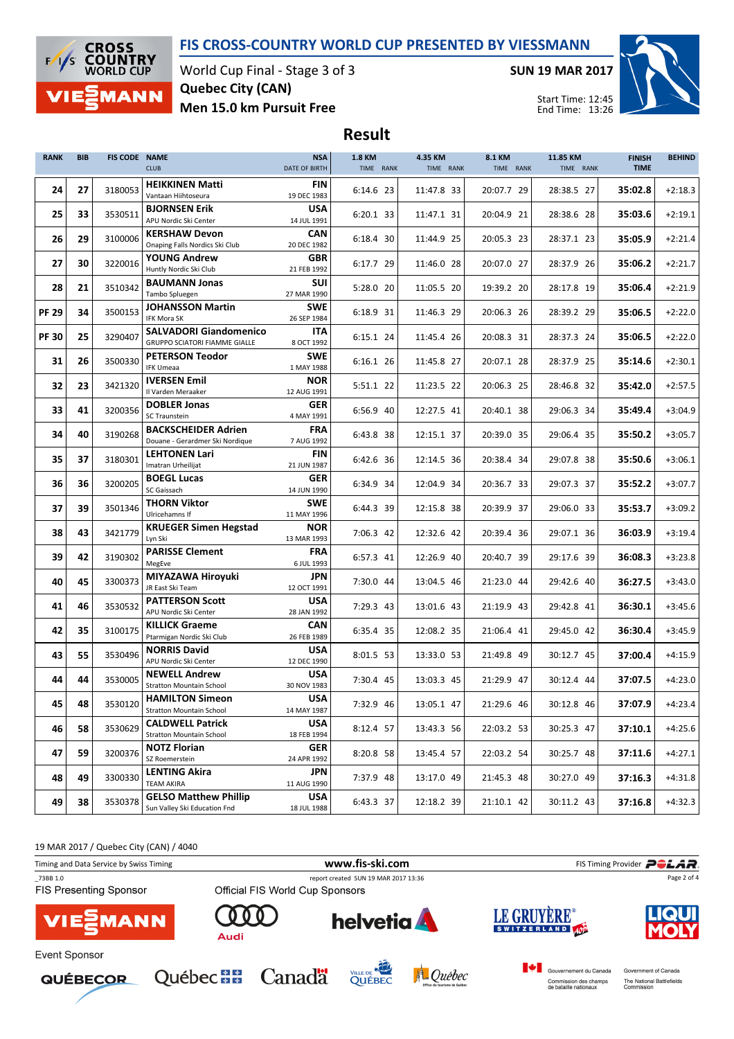## FIS CROSS-COUNTRY WORLD CUP PRESENTED BY VIESSMANN

Result



World Cup Final - Stage 3 of 3 Men 15.0 km Pursuit Free Quebec City (CAN)

SUN 19 MAR 2017



Start Time: 12:45 End Time: 13:26

| <b>RANK</b>  | <b>BIB</b> | <b>FIS CODE NAME</b> | <b>CLUB</b>                                                       | <b>NSA</b><br>DATE OF BIRTH             | 1.8 KM<br>TIME RANK    | 4.35 KM<br>TIME RANK     | 8.1 KM<br>TIME RANK      | 11.85 KM<br>TIME RANK    | <b>FINISH</b><br><b>TIME</b> | <b>BEHIND</b>          |
|--------------|------------|----------------------|-------------------------------------------------------------------|-----------------------------------------|------------------------|--------------------------|--------------------------|--------------------------|------------------------------|------------------------|
| 24           | 27         | 3180053              | <b>HEIKKINEN Matti</b><br>Vantaan Hiihtoseura                     | <b>FIN</b><br>19 DEC 1983               | 6:14.6 23              | 11:47.8 33               | 20:07.7 29               | 28:38.5 27               | 35:02.8                      | $+2:18.3$              |
| 25           | 33         | 3530511              | <b>BJORNSEN Erik</b><br>APU Nordic Ski Center                     | <b>USA</b><br>14 JUL 1991               | 6:20.1 33              | 11:47.1 31               | 20:04.9 21               | 28:38.6 28               | 35:03.6                      | $+2:19.1$              |
| 26           | 29         | 3100006              | <b>KERSHAW Devon</b><br>Onaping Falls Nordics Ski Club            | CAN<br>20 DEC 1982                      | 6:18.4 30              | 11:44.9 25               | 20:05.3 23               | 28:37.1 23               | 35:05.9                      | $+2:21.4$              |
| 27           | 30         | 3220016              | <b>YOUNG Andrew</b><br>Huntly Nordic Ski Club                     | GBR<br>21 FEB 1992                      | 6:17.7 29              | 11:46.0 28               | 20:07.0 27               | 28:37.9 26               | 35:06.2                      | $+2:21.7$              |
| 28           | 21         | 3510342              | <b>BAUMANN Jonas</b><br>Tambo Spluegen                            | SUI<br>27 MAR 1990                      | 5:28.0 20              | 11:05.5 20               | 19:39.2 20               | 28:17.8 19               | 35:06.4                      | $+2:21.9$              |
| <b>PF 29</b> | 34         | 3500153              | <b>JOHANSSON Martin</b><br>IFK Mora SK                            | <b>SWE</b><br>26 SEP 1984               | 6:18.9 31              | 11:46.3 29               | 20:06.3 26               | 28:39.2 29               | 35:06.5                      | $+2:22.0$              |
| <b>PF30</b>  | 25         | 3290407              | <b>SALVADORI Giandomenico</b><br>GRUPPO SCIATORI FIAMME GIALLE    | ITA<br>8 OCT 1992                       | 6:15.1 24              | 11:45.4 26               | 20:08.3 31               | 28:37.3 24               | 35:06.5                      | $+2:22.0$              |
| 31           | 26         | 3500330              | <b>PETERSON Teodor</b><br><b>IFK Umeaa</b>                        | <b>SWE</b><br>1 MAY 1988                | 6:16.1 26              | 11:45.8 27               | 20:07.1 28               | 28:37.9 25               | 35:14.6                      | $+2:30.1$              |
| 32           | 23         | 3421320              | <b>IVERSEN Emil</b><br>Il Varden Meraaker                         | <b>NOR</b><br>12 AUG 1991               | 5:51.1 22              | 11:23.5 22               | 20:06.3 25               | 28:46.8 32               | 35:42.0                      | $+2:57.5$              |
| 33           | 41         | 3200356              | <b>DOBLER Jonas</b><br>SC Traunstein                              | <b>GER</b><br>4 MAY 1991                | 6:56.9 40              | 12:27.5 41               | 20:40.1 38               | 29:06.3 34               | 35:49.4                      | $+3:04.9$              |
| 34           | 40         | 3190268              | <b>BACKSCHEIDER Adrien</b><br>Douane - Gerardmer Ski Nordique     | <b>FRA</b><br>7 AUG 1992                | 6:43.8 38              | 12:15.1 37               | 20:39.0 35               | 29:06.4 35               | 35:50.2                      | $+3:05.7$              |
| 35           | 37         | 3180301              | <b>LEHTONEN Lari</b><br>Imatran Urheilijat                        | FIN<br>21 JUN 1987                      | 6:42.6 36              | 12:14.5 36               | 20:38.4 34               | 29:07.8 38               | 35:50.6                      | $+3:06.1$              |
| 36           | 36         | 3200205              | <b>BOEGL Lucas</b><br>SC Gaissach                                 | <b>GER</b><br>14 JUN 1990               | 6:34.9 34              | 12:04.9 34               | 20:36.7 33               | 29:07.3 37               | 35:52.2                      | $+3:07.7$              |
| 37           | 39         | 3501346              | THORN Viktor<br>Ulricehamns If                                    | <b>SWE</b><br>11 MAY 1996               | 6:44.3 39              | 12:15.8 38               | 20:39.9 37               | 29:06.0 33               | 35:53.7                      | $+3:09.2$              |
| 38           | 43         | 3421779              | <b>KRUEGER Simen Hegstad</b><br>Lyn Ski<br><b>PARISSE Clement</b> | <b>NOR</b><br>13 MAR 1993<br><b>FRA</b> | 7:06.3 42              | 12:32.6 42               | 20:39.4 36               | 29:07.1 36               | 36:03.9                      | $+3:19.4$              |
| 39           | 42         | 3190302              | MegEve<br>MIYAZAWA Hiroyuki                                       | 6 JUL 1993<br>JPN                       | 6:57.3 41              | 12:26.9 40               | 20:40.7 39               | 29:17.6 39               | 36:08.3                      | $+3:23.8$              |
| 40           | 45         | 3300373              | JR East Ski Team<br><b>PATTERSON Scott</b>                        | 12 OCT 1991<br><b>USA</b>               | 7:30.0 44              | 13:04.5 46               | 21:23.0 44               | 29:42.6 40               | 36:27.5                      | $+3:43.0$              |
| 41           | 46         | 3530532              | APU Nordic Ski Center<br><b>KILLICK Graeme</b>                    | 28 JAN 1992<br>CAN                      | 7:29.3 43              | 13:01.6 43               | 21:19.9 43               | 29:42.8 41               | 36:30.1                      | $+3:45.6$              |
| 42           | 35         | 3100175              | Ptarmigan Nordic Ski Club<br><b>NORRIS David</b>                  | 26 FEB 1989<br><b>USA</b>               | 6:35.4 35              | 12:08.2 35               | 21:06.4 41               | 29:45.0 42               | 36:30.4                      | $+3:45.9$              |
| 43           | 55         | 3530496              | APU Nordic Ski Center<br><b>NEWELL Andrew</b>                     | 12 DEC 1990<br><b>USA</b>               | 8:01.5 53              | 13:33.0 53               | 21:49.8 49               | 30:12.7 45               | 37:00.4                      | $+4:15.9$              |
| 44           | 44         | 3530005              | <b>Stratton Mountain School</b><br><b>HAMILTON Simeon</b>         | 30 NOV 1983<br>USA                      | 7:30.4 45              | 13:03.3 45               | 21:29.9 47               | 30:12.4 44               | 37:07.5                      | $+4:23.0$              |
| 45           | 48         | 3530120              | <b>Stratton Mountain School</b><br><b>CALDWELL Patrick</b>        | 14 MAY 1987<br><b>USA</b>               | 7:32.9 46              | 13:05.1 47               | 21:29.6 46               | 30:12.8 46               | 37:07.9                      | $+4:23.4$              |
| 46           | 58         | 3530629              | <b>Stratton Mountain School</b><br><b>NOTZ Florian</b>            | 18 FEB 1994<br>GER                      | 8:12.4 57              | 13:43.3 56               | 22:03.2 53               | 30:25.3 47               | 37:10.1                      | $+4:25.6$              |
| 47           | 59<br>49   | 3200376<br>3300330   | SZ Roemerstein<br><b>LENTING Akira</b>                            | 24 APR 1992<br>JPN                      | 8:20.8 58<br>7:37.9 48 | 13:45.4 57<br>13:17.0 49 | 22:03.2 54<br>21:45.3 48 | 30:25.7 48<br>30:27.0 49 | 37:11.6<br>37:16.3           | $+4:27.1$<br>$+4:31.8$ |
| 48<br>49     | 38         | 3530378              | <b>TEAM AKIRA</b><br><b>GELSO Matthew Phillip</b>                 | 11 AUG 1990<br><b>USA</b>               | 6:43.3 37              | 12:18.2 39               | 21:10.1 42               | 30:11.2 43               | 37:16.8                      | $+4:32.3$              |
|              |            |                      | Sun Valley Ski Education Fnd                                      | 18 JUL 1988                             |                        |                          |                          |                          |                              |                        |

19 MAR 2017 / Quebec City (CAN) / 4040 Timing and Data Service by Swiss Timing **Example 20** and Data Service by Swiss Timing Provider **POLAR** \_73BB 1.0 report created SUN 19 MAR 2017 13:36 Page 2 of 4**FIS Presenting Sponsor LE GRUYÈRE** ŋ **helvetia MANN** SWITZERLAND Audi Event Sponsor Gouvernement du Canada Government of Canada Québec **BB** Canadä VILLE DE NAME A Québec **QUÉBECOR** Commission des champs<br>de bataille nationaux The National Battlefields<br>Commission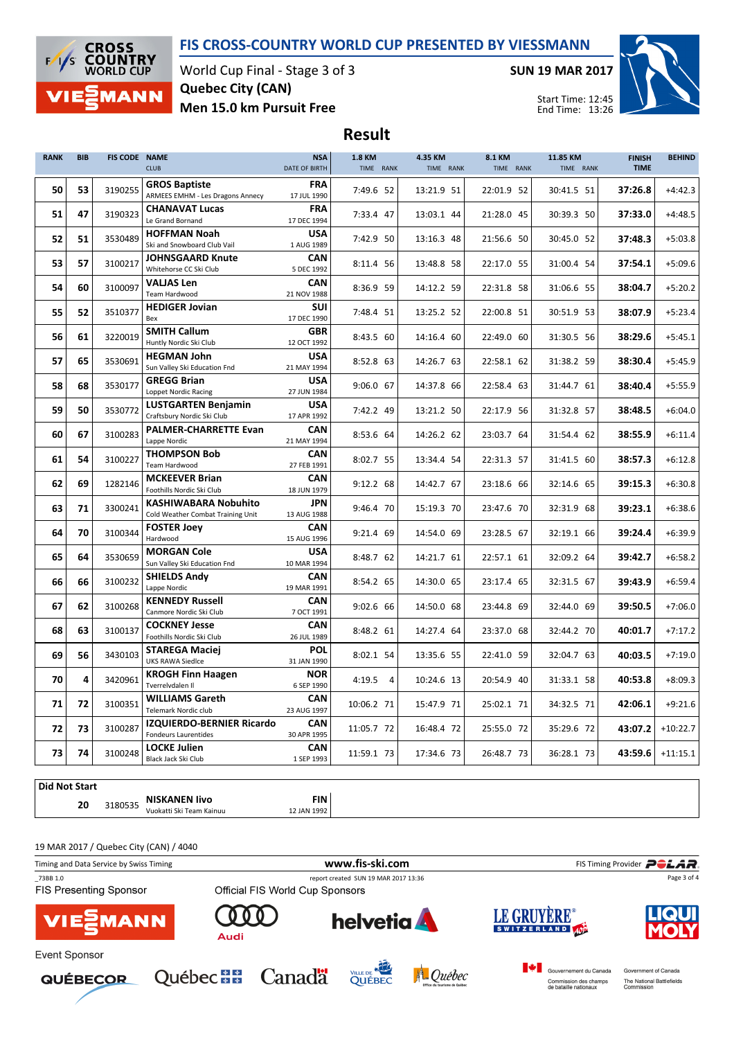## FIS CROSS-COUNTRY WORLD CUP PRESENTED BY VIESSMANN

Result



World Cup Final - Stage 3 of 3 Men 15.0 km Pursuit Free Quebec City (CAN)

SUN 19 MAR 2017



Start Time: 12:45 End Time: 13:26

## RANK BIB FIS CODE NAME **CLUB NSA** DATE OF BIRTH 1.8 KM TIME RANK 4.35 KM TIME RANK 8.1 KM TIME RANK 11.85 KM TIME RANK FINISH TIME BEHIND  $\begin{array}{|c|c|c|c|c|}\n\hline\n\textbf{53} & 3190255 & \textbf{GRMMS} & \textbf{LBS} & \textbf{BMS} \\
\hline\n\end{array}$  ARMEES EMHM - Les Dragons Annecy GROS Baptiste 17 JUL 1990 FRA <sup>3190255</sup> 7:49.6 52 13:21.9 51 22:01.9 52 30:41.5 51 37:26.8 +4:42.3  $\begin{array}{|c|c|c|c|c|}\n\hline\n\textbf{51} & \textbf{47} & \textbf{3190323} & \textbf{CHANAVAI} & \textbf{120} \\
\hline\n\end{array}$ CHANAVAT Lucas 17 DEC 1994 FRA <sup>3190323</sup> 7:33.4 47 13:03.1 44 21:28.0 45 30:39.3 50 37:33.0 +4:48.5  $\begin{array}{|c|c|c|c|}\n\hline\n\textbf{51} & \textbf{3530489} & \textbf{h} & \textbf{S1} & \textbf{S1} \\
\hline\n\textbf{S1} & \textbf{S2} & \textbf{S1} & \textbf{S1} & \textbf{S1} \\
\textbf{S1} & \textbf{S1} & \textbf{S1} & \textbf{S1} & \textbf{S1} & \textbf{S1} \\
\hline\n\textbf{S1} & \textbf{S1} & \textbf{S1} & \textbf{S1} & \textbf{S1} & \textbf{S1} \\
\hline\n\textbf{S2} &$ HOFFMAN Noah 1 AUG 1989 USA <sup>3530489</sup> 7:42.9 50 13:16.3 48 21:56.6 50 30:45.0 52 37:48.3 +5:03.8  $\begin{array}{|c|c|c|c|}\n\hline\n\textbf{53} & \textbf{57} & \textbf{3100217} & \textbf{J}\n\end{array}$  Whitehorse CC Ski Club JOHNSGAARD Knute 5 DEC 1992 CAN <sup>3100217</sup> 8:11.4 56 13:48.8 58 22:17.0 55 31:00.4 54 37:54.1 +5:09.6  $\begin{array}{|c|c|c|c|}\n\hline\n\textbf{54} & \textbf{60} & \textbf{3100097} & \textbf{VALJAS Len} \\
\hline\n\text{Team Hardware} & \text{Tean Hardware} & \text{S10000} \\
\hline\n\end{array}$ VALJAS Len 21 NOV 1988 CAN <sup>3100097</sup> 8:36.9 59 14:12.2 59 22:31.8 58 31:06.6 55 38:04.7 +5:20.2 55 52 Bex HEDIGER Jovian 17 DEC 1990 SUI <sup>3510377</sup> 7:48.4 51 13:25.2 52 22:00.8 51 30:51.9 53 38:07.9 +5:23.4  $\begin{array}{|c|c|c|c|c|}\n\hline\n\textbf{56} & \textbf{61} & \textbf{3220019} & \textbf{51111 H} & \textbf{Callum} \\
\textbf{Huntly Nordic Ski Club} & \textbf{1010} & \textbf{1110} & \textbf{1210} & \textbf{1210} & \textbf{1310} & \textbf{1410} & \textbf{1510} & \textbf{1610} & \textbf{1610} & \textbf{1710} & \textbf{1810} & \textbf{1810} & \textbf{1910} & \textbf{$ SMITH Callum 12 OCT 1992 GBR <sup>3220019</sup> 8:43.5 60 14:16.4 60 22:49.0 60 31:30.5 56 38:29.6 +5:45.1  $\begin{array}{|c|c|c|c|}\n\hline\n\textbf{57} & \textbf{65} & \textbf{3530691} & \textbf{HEGMAN John} \\
\hline\n\textbf{Sun Valley Ski Education Find}\n\end{array}$ HEGMAN John 21 MAY 1994 USA <sup>3530691</sup> 8:52.8 63 14:26.7 63 22:58.1 62 31:38.2 59 38:30.4 +5:45.9  $\begin{array}{|c|c|c|c|c|}\n \hline\n 58 & 68 & 3530177 & \text{Unreco} & \text{Dridif} \\
 \hline\n & \text{Lopnet Nordic Racing} & \end{array}$ GREGG Brian 27 JUN 1984 USA <sup>3530177</sup> 9:06.0 67 14:37.8 66 22:58.4 63 31:44.7 61 38:40.4 +5:55.9  $\begin{array}{|c|c|c|c|c|}\n\hline\n\textbf{59} & \textbf{50} & \textbf{3530772} & \textbf{Craftsburv Nordic Ski Club} \\
\hline\n\end{array}$ LUSTGARTEN Benjamin USA <sup>3530772</sup> 7:42.2 49 13:21.2 50 22:17.9 56 31:32.8 57 38:48.5 +6:04.0 17 APR 1992  $\begin{array}{|c|c|c|c|c|}\n\hline\n\textbf{60} & \textbf{67} & \textbf{3100283} & \textbf{Lappe Nordic} \\
\hline\n\end{array}$ PALMER-CHARRETTE Evan CAN <sup>3100283</sup> 8:53.6 64 14:26.2 62 23:03.7 64 31:54.4 62 38:55.9 +6:11.4 21 MAY 1994 61 54  $3100227 \Big|_{\text{Team Hardware}}^{\text{HDUW}$ THOMPSON Bob 27 FEB 1991 CAN <sup>3100227</sup> 8:02.7 55 13:34.4 54 22:31.3 57 31:41.5 60 38:57.3 +6:12.8  $\begin{array}{|c|c|c|c|c|}\n\hline\n\textbf{62} & \textbf{69} & \textbf{1282146} & \textbf{Foolhills Nordic Ski Club} \\
\hline\n\end{array}$ MCKEEVER Brian 18 JUN 1979 CAN <sup>1282146</sup> 9:12.2 68 14:42.7 67 23:18.6 66 32:14.6 65 39:15.3 +6:30.8  $\begin{array}{|c|c|c|c|}\n\hline\n\textbf{63} & \textbf{71} & \textbf{3300241} & \textbf{Cold Weather Combat Training Unit} \\
\hline\n\end{array}$ KASHIWABARA Nobuhito JPN <sup>3300241</sup> 9:46.4 70 15:19.3 70 23:47.6 70 32:31.9 68 39:23.1 +6:38.6 13 AUG 1988 64 70  $3100344$  Hardwood FOSTER Joey 15 AUG 1996 CAN <sup>3100344</sup> 9:21.4 69 14:54.0 69 23:28.5 67 32:19.1 66 39:24.4 +6:39.9  $\begin{array}{|c|c|c|c|c|}\n\hline\n\textbf{65} & \textbf{64} & \textbf{3530659} & \textbf{Sun Valley Ski Education Find} \\
\hline\n\end{array}$ MORGAN Cole 10 MAR 1994 USA <sup>3530659</sup> 8:48.7 62 14:21.7 61 22:57.1 61 32:09.2 64 39:42.7 +6:58.2  $\begin{array}{|c|c|c|c|c|}\n\hline\n66 & 66 & 3100232 & \text{SMELD3 A} \\
\hline\n\end{array}$ SHIELDS Andy 19 MAR 1991 CAN <sup>3100232</sup> 8:54.2 65 14:30.0 65 23:17.4 65 32:31.5 67 39:43.9 +6:59.4  $\begin{array}{|c|c|c|c|}\n\hline\n67 & 62 & 3100268 & \text{Cannore Nordic Ski Club} \\
\hline\n\end{array}$ KENNEDY Russell 7 OCT 1991 CAN <sup>3100268</sup> 9:02.6 66 14:50.0 68 23:44.8 69 32:44.0 69 39:50.5 +7:06.0  $\begin{array}{|c|c|c|c|c|}\n\hline\n\textbf{63} & 3100137 & \textbf{COLKNET Jesse} \\
\hline\n\textbf{Foothills Nordic Ski Club} & & \textbf{Foothills Nordic Ski Club} & & \textbf{Foothills Nordic Ski Club} \\
\hline\n\end{array}$ COCKNEY Jesse 26 JUL 1989 CAN <sup>3100137</sup> 8:48.2 61 14:27.4 64 23:37.0 68 32:44.2 70 40:01.7 +7:17.2 69 56 3430103 UKS RAWA Siedlce STAREGA Maciej 31 JAN 1990 POL <sup>3430103</sup> 8:02.1 54 13:35.6 55 22:41.0 59 32:04.7 63 40:03.5 +7:19.0 70  $\begin{array}{|c|c|c|c|c|}\n\hline\n\textbf{70} & \textbf{4} & \textbf{3420961}} & \textbf{KRUGH FIN} \\
\hline\n\end{array}$ KROGH Finn Haagen 6 SEP 1990 NOR <sup>3420961</sup> 4:19.5 4 10:24.6 13 20:54.9 40 31:33.1 58 40:53.8 +8:09.3  $71 \begin{array}{|c|c|c|c|c|} \hline \end{array}$  72  $\begin{array}{|c|c|c|c|c|} \hline \end{array}$  3100351 Telemark Nordic club WILLIAMS Gareth 23 AUG 1997 CAN <sup>3100351</sup> 10:06.2 71 15:47.9 71 25:02.1 71 34:32.5 71 42:06.1 +9:21.6  $72 \begin{array}{|c|c|c|c|c|}\n 73 & 3100287 & \text{Fondeurs Laurentides}\n\end{array}$ IZQUIERDO-BERNIER Ricardo CAN <sup>3100287</sup> 11:05.7 72 16:48.4 72 25:55.0 72 35:29.6 72 43:07.2 +10:22.7 30 APR 1995  $\begin{array}{|c|c|c|c|}\n\hline\n\textbf{73} & \textbf{74} & \textbf{3100248} & \textbf{Block Jack Ski Club} \\
\hline\n\end{array}$ LOCKE Julien 1 SEP 1993 CAN <sup>3100248</sup> 11:59.1 73 17:34.6 73 26:48.7 73 36:28.1 73 43:59.6 +11:15.1



19 MAR 2017 / Quebec City (CAN) / 4040